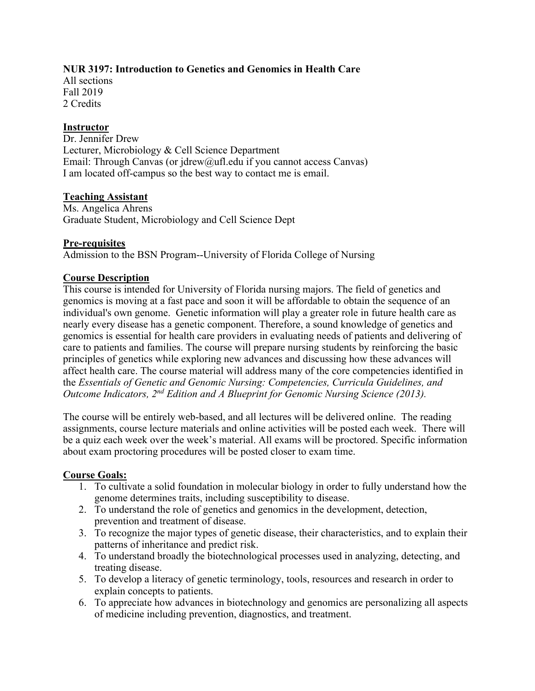## **NUR 3197: Introduction to Genetics and Genomics in Health Care**

All sections Fall 2019 2 Credits

## **Instructor**

Dr. Jennifer Drew Lecturer, Microbiology & Cell Science Department Email: Through Canvas (or jdrew@ufl.edu if you cannot access Canvas) I am located off-campus so the best way to contact me is email.

## **Teaching Assistant**

Ms. Angelica Ahrens Graduate Student, Microbiology and Cell Science Dept

### **Pre-requisites**

Admission to the BSN Program--University of Florida College of Nursing

## **Course Description**

This course is intended for University of Florida nursing majors. The field of genetics and genomics is moving at a fast pace and soon it will be affordable to obtain the sequence of an individual's own genome. Genetic information will play a greater role in future health care as nearly every disease has a genetic component. Therefore, a sound knowledge of genetics and genomics is essential for health care providers in evaluating needs of patients and delivering of care to patients and families. The course will prepare nursing students by reinforcing the basic principles of genetics while exploring new advances and discussing how these advances will affect health care. The course material will address many of the core competencies identified in the *Essentials of Genetic and Genomic Nursing: Competencies, Curricula Guidelines, and Outcome Indicators, 2nd Edition and A Blueprint for Genomic Nursing Science (2013).*

The course will be entirely web-based, and all lectures will be delivered online. The reading assignments, course lecture materials and online activities will be posted each week. There will be a quiz each week over the week's material. All exams will be proctored. Specific information about exam proctoring procedures will be posted closer to exam time.

# **Course Goals:**

- 1. To cultivate a solid foundation in molecular biology in order to fully understand how the genome determines traits, including susceptibility to disease.
- 2. To understand the role of genetics and genomics in the development, detection, prevention and treatment of disease.
- 3. To recognize the major types of genetic disease, their characteristics, and to explain their patterns of inheritance and predict risk.
- 4. To understand broadly the biotechnological processes used in analyzing, detecting, and treating disease.
- 5. To develop a literacy of genetic terminology, tools, resources and research in order to explain concepts to patients.
- 6. To appreciate how advances in biotechnology and genomics are personalizing all aspects of medicine including prevention, diagnostics, and treatment.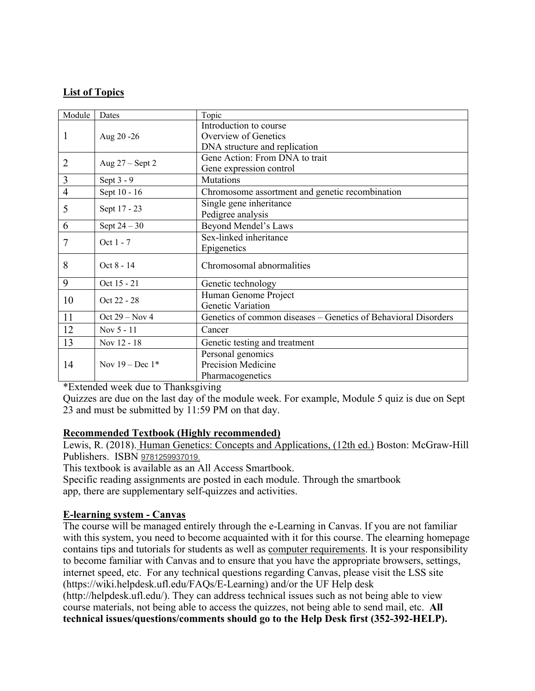# **List of Topics**

| Module         | Dates             | Topic                                                          |  |
|----------------|-------------------|----------------------------------------------------------------|--|
|                | Aug 20 - 26       | Introduction to course                                         |  |
| 1              |                   | Overview of Genetics                                           |  |
|                |                   | DNA structure and replication                                  |  |
| $\overline{2}$ | Aug $27 -$ Sept 2 | Gene Action: From DNA to trait                                 |  |
|                |                   | Gene expression control                                        |  |
| 3              | Sept $3 - 9$      | Mutations                                                      |  |
| $\overline{4}$ | Sept 10 - 16      | Chromosome assortment and genetic recombination                |  |
| 5              | Sept 17 - 23      | Single gene inheritance                                        |  |
|                |                   | Pedigree analysis                                              |  |
| 6              | Sept $24-30$      | Beyond Mendel's Laws                                           |  |
| 7              | Oct 1 - 7         | Sex-linked inheritance                                         |  |
|                |                   | Epigenetics                                                    |  |
| 8              | Oct 8 - 14        | Chromosomal abnormalities                                      |  |
|                |                   |                                                                |  |
| 9              | Oct 15 - 21       | Genetic technology                                             |  |
| 10             | Oct 22 - 28       | Human Genome Project                                           |  |
|                |                   | Genetic Variation                                              |  |
| 11             | Oct $29 - Nov 4$  | Genetics of common diseases - Genetics of Behavioral Disorders |  |
| 12             | Nov 5 - 11        | Cancer                                                         |  |
| 13             | Nov 12 - 18       | Genetic testing and treatment                                  |  |
|                | Nov $19 - Dec 1*$ | Personal genomics                                              |  |
| 14             |                   | Precision Medicine                                             |  |
|                |                   | Pharmacogenetics                                               |  |

\*Extended week due to Thanksgiving

Quizzes are due on the last day of the module week. For example, Module 5 quiz is due on Sept 23 and must be submitted by 11:59 PM on that day.

### **Recommended Textbook (Highly recommended)**

Lewis, R. (2018). Human Genetics: Concepts and Applications, (12th ed.) Boston: McGraw-Hill Publishers. ISBN 9781259937019.

This textbook is available as an All Access Smartbook.

Specific reading assignments are posted in each module. Through the smartbook app, there are supplementary self-quizzes and activities.

# **E-learning system - Canvas**

The course will be managed entirely through the e-Learning in Canvas. If you are not familiar with this system, you need to become acquainted with it for this course. The elearning homepage contains tips and tutorials for students as well as computer requirements. It is your responsibility to become familiar with Canvas and to ensure that you have the appropriate browsers, settings, internet speed, etc. For any technical questions regarding Canvas, please visit the LSS site (https://wiki.helpdesk.ufl.edu/FAQs/E-Learning) and/or the UF Help desk

(http://helpdesk.ufl.edu/). They can address technical issues such as not being able to view course materials, not being able to access the quizzes, not being able to send mail, etc. **All technical issues/questions/comments should go to the Help Desk first (352-392-HELP).**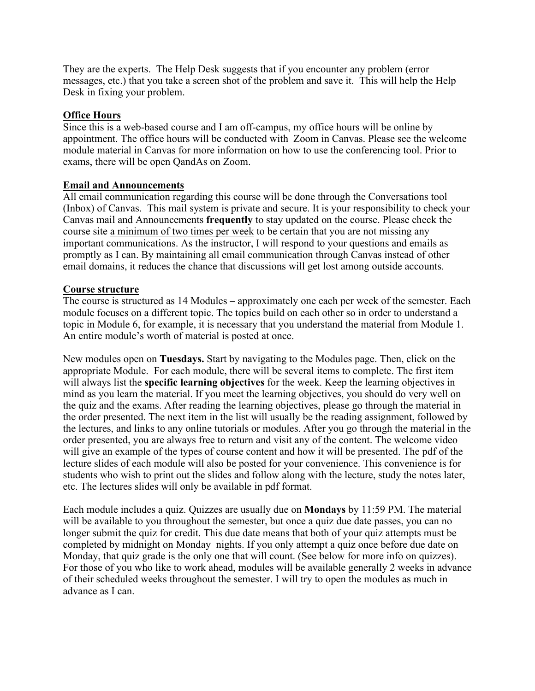They are the experts. The Help Desk suggests that if you encounter any problem (error messages, etc.) that you take a screen shot of the problem and save it. This will help the Help Desk in fixing your problem.

### **Office Hours**

Since this is a web-based course and I am off-campus, my office hours will be online by appointment. The office hours will be conducted with Zoom in Canvas. Please see the welcome module material in Canvas for more information on how to use the conferencing tool. Prior to exams, there will be open QandAs on Zoom.

## **Email and Announcements**

All email communication regarding this course will be done through the Conversations tool (Inbox) of Canvas. This mail system is private and secure. It is your responsibility to check your Canvas mail and Announcements **frequently** to stay updated on the course. Please check the course site a minimum of two times per week to be certain that you are not missing any important communications. As the instructor, I will respond to your questions and emails as promptly as I can. By maintaining all email communication through Canvas instead of other email domains, it reduces the chance that discussions will get lost among outside accounts.

## **Course structure**

The course is structured as 14 Modules – approximately one each per week of the semester. Each module focuses on a different topic. The topics build on each other so in order to understand a topic in Module 6, for example, it is necessary that you understand the material from Module 1. An entire module's worth of material is posted at once.

New modules open on **Tuesdays.** Start by navigating to the Modules page. Then, click on the appropriate Module. For each module, there will be several items to complete. The first item will always list the **specific learning objectives** for the week. Keep the learning objectives in mind as you learn the material. If you meet the learning objectives, you should do very well on the quiz and the exams. After reading the learning objectives, please go through the material in the order presented. The next item in the list will usually be the reading assignment, followed by the lectures, and links to any online tutorials or modules. After you go through the material in the order presented, you are always free to return and visit any of the content. The welcome video will give an example of the types of course content and how it will be presented. The pdf of the lecture slides of each module will also be posted for your convenience. This convenience is for students who wish to print out the slides and follow along with the lecture, study the notes later, etc. The lectures slides will only be available in pdf format.

Each module includes a quiz. Quizzes are usually due on **Mondays** by 11:59 PM. The material will be available to you throughout the semester, but once a quiz due date passes, you can no longer submit the quiz for credit. This due date means that both of your quiz attempts must be completed by midnight on Monday nights. If you only attempt a quiz once before due date on Monday, that quiz grade is the only one that will count. (See below for more info on quizzes). For those of you who like to work ahead, modules will be available generally 2 weeks in advance of their scheduled weeks throughout the semester. I will try to open the modules as much in advance as I can.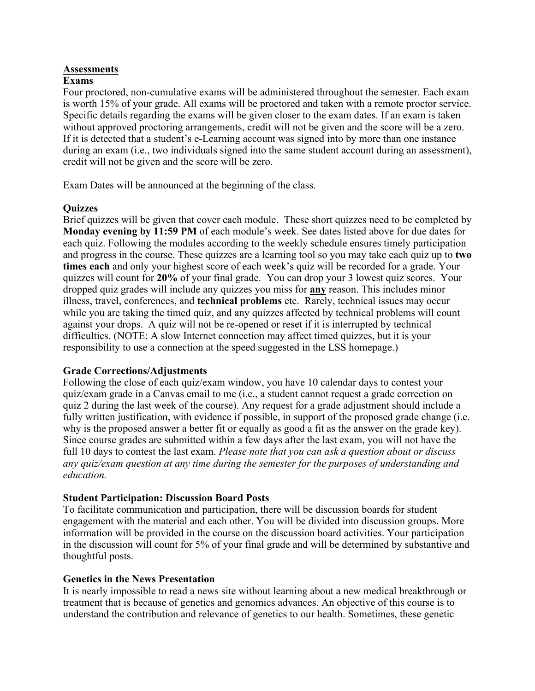# **Assessments**

# **Exams**

Four proctored, non-cumulative exams will be administered throughout the semester. Each exam is worth 15% of your grade. All exams will be proctored and taken with a remote proctor service. Specific details regarding the exams will be given closer to the exam dates. If an exam is taken without approved proctoring arrangements, credit will not be given and the score will be a zero. If it is detected that a student's e-Learning account was signed into by more than one instance during an exam (i.e., two individuals signed into the same student account during an assessment), credit will not be given and the score will be zero.

Exam Dates will be announced at the beginning of the class.

## **Quizzes**

Brief quizzes will be given that cover each module. These short quizzes need to be completed by **Monday evening by 11:59 PM** of each module's week. See dates listed above for due dates for each quiz. Following the modules according to the weekly schedule ensures timely participation and progress in the course. These quizzes are a learning tool so you may take each quiz up to **two times each** and only your highest score of each week's quiz will be recorded for a grade. Your quizzes will count for **20%** of your final grade. You can drop your 3 lowest quiz scores. Your dropped quiz grades will include any quizzes you miss for **any** reason. This includes minor illness, travel, conferences, and **technical problems** etc. Rarely, technical issues may occur while you are taking the timed quiz, and any quizzes affected by technical problems will count against your drops. A quiz will not be re-opened or reset if it is interrupted by technical difficulties. (NOTE: A slow Internet connection may affect timed quizzes, but it is your responsibility to use a connection at the speed suggested in the LSS homepage.)

### **Grade Corrections/Adjustments**

Following the close of each quiz/exam window, you have 10 calendar days to contest your quiz/exam grade in a Canvas email to me (i.e., a student cannot request a grade correction on quiz 2 during the last week of the course). Any request for a grade adjustment should include a fully written justification, with evidence if possible, in support of the proposed grade change (i.e. why is the proposed answer a better fit or equally as good a fit as the answer on the grade key). Since course grades are submitted within a few days after the last exam, you will not have the full 10 days to contest the last exam. *Please note that you can ask a question about or discuss any quiz/exam question at any time during the semester for the purposes of understanding and education.* 

### **Student Participation: Discussion Board Posts**

To facilitate communication and participation, there will be discussion boards for student engagement with the material and each other. You will be divided into discussion groups. More information will be provided in the course on the discussion board activities. Your participation in the discussion will count for 5% of your final grade and will be determined by substantive and thoughtful posts.

### **Genetics in the News Presentation**

It is nearly impossible to read a news site without learning about a new medical breakthrough or treatment that is because of genetics and genomics advances. An objective of this course is to understand the contribution and relevance of genetics to our health. Sometimes, these genetic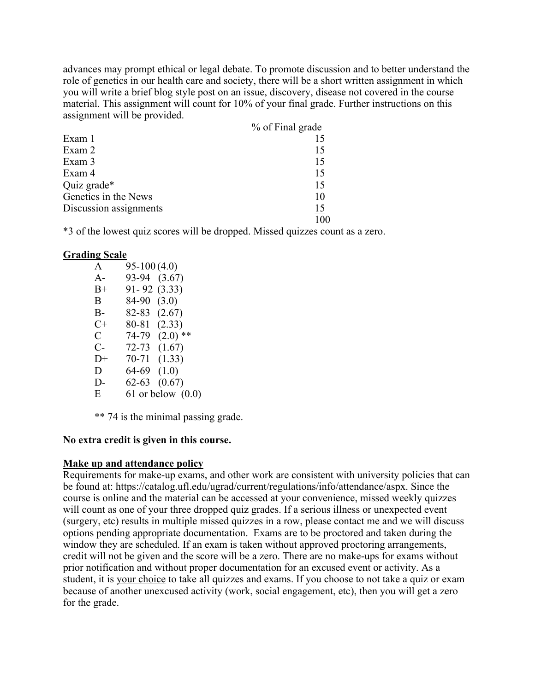advances may prompt ethical or legal debate. To promote discussion and to better understand the role of genetics in our health care and society, there will be a short written assignment in which you will write a brief blog style post on an issue, discovery, disease not covered in the course material. This assignment will count for 10% of your final grade. Further instructions on this assignment will be provided.

|                        | % of Final grade |
|------------------------|------------------|
| Exam 1                 |                  |
| Exam 2                 | 15               |
| Exam 3                 | 15               |
| Exam 4                 | 15               |
| Quiz grade*            | 15               |
| Genetics in the News   | 10               |
| Discussion assignments | 15               |
|                        |                  |

\*3 of the lowest quiz scores will be dropped. Missed quizzes count as a zero.

### **Grading Scale**

| A            | $95-100(4.0)$ |                       |
|--------------|---------------|-----------------------|
| $A -$        | 93-94         | (3.67)                |
| $B+$         | 91-92         | (3.33)                |
| B            | 84-90         | (3.0)                 |
| B-           | 82-83         | (2.67)                |
| C+           | 80-81         | (2.33)                |
| $\mathsf{C}$ | 74-79         | $(2.0)$ **            |
| $C-$         | 72-73         | (1.67)                |
| $D+$         | 70-71         | (1.33)                |
| D            | 64-69         | (1.0)                 |
| D-           | 62-63         | (0.67)                |
| Ε            |               | $61$ or below $(0.0)$ |
|              |               |                       |

\*\* 74 is the minimal passing grade.

### **No extra credit is given in this course.**

### **Make up and attendance policy**

Requirements for make-up exams, and other work are consistent with university policies that can be found at: https://catalog.ufl.edu/ugrad/current/regulations/info/attendance/aspx. Since the course is online and the material can be accessed at your convenience, missed weekly quizzes will count as one of your three dropped quiz grades. If a serious illness or unexpected event (surgery, etc) results in multiple missed quizzes in a row, please contact me and we will discuss options pending appropriate documentation. Exams are to be proctored and taken during the window they are scheduled. If an exam is taken without approved proctoring arrangements, credit will not be given and the score will be a zero. There are no make-ups for exams without prior notification and without proper documentation for an excused event or activity. As a student, it is your choice to take all quizzes and exams. If you choose to not take a quiz or exam because of another unexcused activity (work, social engagement, etc), then you will get a zero for the grade.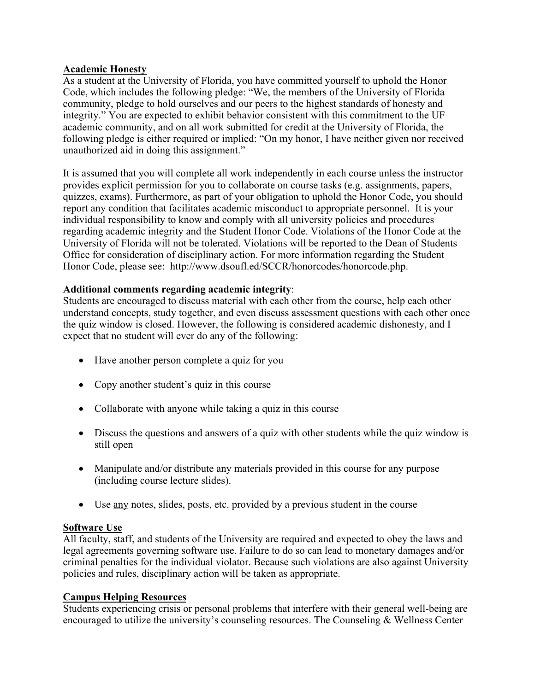# **Academic Honesty**

As a student at the University of Florida, you have committed yourself to uphold the Honor Code, which includes the following pledge: "We, the members of the University of Florida community, pledge to hold ourselves and our peers to the highest standards of honesty and integrity." You are expected to exhibit behavior consistent with this commitment to the UF academic community, and on all work submitted for credit at the University of Florida, the following pledge is either required or implied: "On my honor, I have neither given nor received unauthorized aid in doing this assignment."

It is assumed that you will complete all work independently in each course unless the instructor provides explicit permission for you to collaborate on course tasks (e.g. assignments, papers, quizzes, exams). Furthermore, as part of your obligation to uphold the Honor Code, you should report any condition that facilitates academic misconduct to appropriate personnel. It is your individual responsibility to know and comply with all university policies and procedures regarding academic integrity and the Student Honor Code. Violations of the Honor Code at the University of Florida will not be tolerated. Violations will be reported to the Dean of Students Office for consideration of disciplinary action. For more information regarding the Student Honor Code, please see: http://www.dsoufl.ed/SCCR/honorcodes/honorcode.php.

## **Additional comments regarding academic integrity**:

Students are encouraged to discuss material with each other from the course, help each other understand concepts, study together, and even discuss assessment questions with each other once the quiz window is closed. However, the following is considered academic dishonesty, and I expect that no student will ever do any of the following:

- Have another person complete a quiz for you
- Copy another student's quiz in this course
- Collaborate with anyone while taking a quiz in this course
- Discuss the questions and answers of a quiz with other students while the quiz window is still open
- Manipulate and/or distribute any materials provided in this course for any purpose (including course lecture slides).
- Use any notes, slides, posts, etc. provided by a previous student in the course

# **Software Use**

All faculty, staff, and students of the University are required and expected to obey the laws and legal agreements governing software use. Failure to do so can lead to monetary damages and/or criminal penalties for the individual violator. Because such violations are also against University policies and rules, disciplinary action will be taken as appropriate.

# **Campus Helping Resources**

Students experiencing crisis or personal problems that interfere with their general well-being are encouraged to utilize the university's counseling resources. The Counseling & Wellness Center